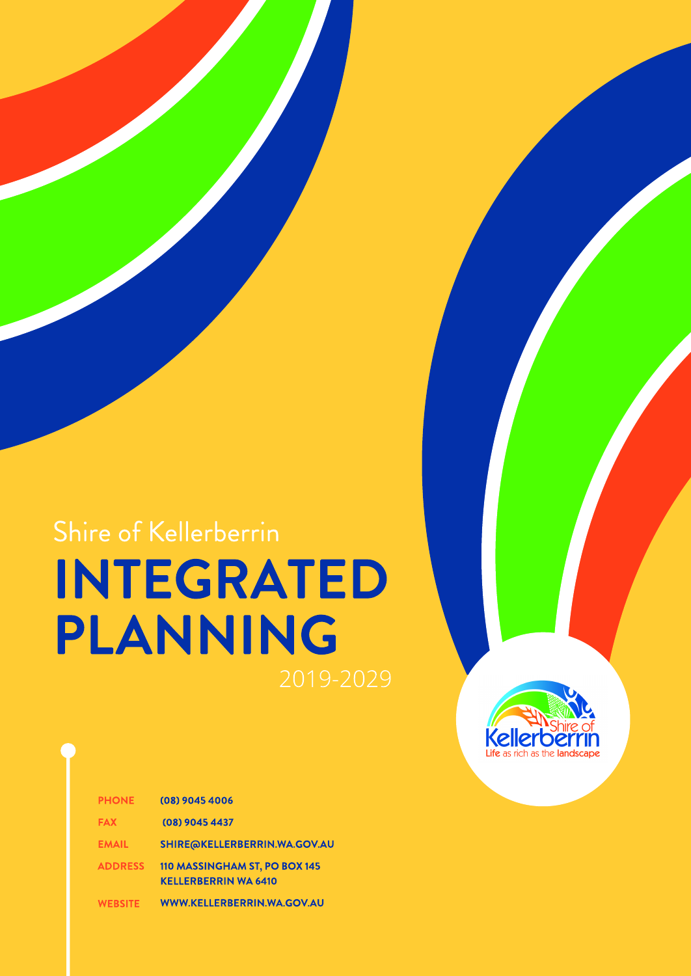# INTEGRATED PLANNING Shire of Kellerberrin

| <b>PHONE</b>   | (08) 9045 4006                                               |
|----------------|--------------------------------------------------------------|
| <b>FAX</b>     | (08) 9045 4437                                               |
| <b>EMAIL</b>   | SHIRE@KELLERBERRIN.WA.GOV.AU                                 |
| <b>ADDRESS</b> | 110 MASSINGHAM ST, PO BOX 145<br><b>KELLERBERRIN WA 6410</b> |
| <b>WEBSITE</b> | WWW.KELLERBERRIN.WA.GOV.AU                                   |

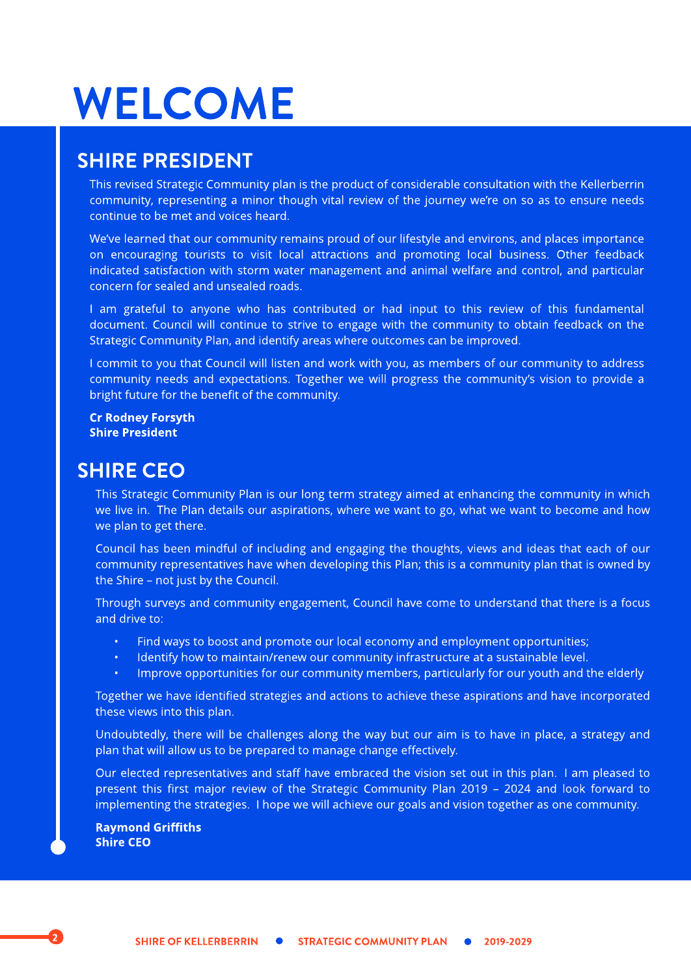# WELCOME

### **SHIRE PRESIDENT**

This revised Strategic Community plan is the product of considerable consultation with the Kellerberrin community, representing a minor though vital review of the journey we're on so as to ensure needs continue to be met and voices heard.

We've learned that our community remains proud of our lifestyle and environs, and places importance on encouraging tourists to visit local attractions and promoting local business. Other feedback indicated satisfaction with storm water management and animal welfare and control, and particular concern for sealed and unsealed roads.

I am grateful to anyone who has contributed or had input to this review of this fundamental document. Council will continue to strive to engage with the community to obtain feedback on the Strategic Community Plan, and identify areas where outcomes can be improved.

I commit to you that Council will listen and work with you, as members of our community to address community needs and expectations. Together we will progress the community's vision to provide a bright future for the benefit of the community.

Cr Rodney Forsyth Shire President

### SHIRECEO

This Strategic Community Plan is our long term strategy aimed at enhancing the community in which we live in. The Plan details our aspirations, where we want to go, what we want to become and how we plan to get there.

Council has been mindful of including and engaging the thoughts, views and ideas that each of our community representatives have when developing this Plan; this is a community plan that is owned by the Shire - not just by the Council.

Through surveys and community engagement, Council have come to understand that there is a focus and drive to:

- Find ways to boost and promote our local economy and employment opportunities;
- Identify how to maintain/renew our community infrastructure at a sustainable level.
- Improve opportunities for our community members, particularly for our youth and the elderly

Together we have identified strategies and actions to achieve these aspirations and have incorporated these views into this plan.

Undoubtedly, there will be challenges along the way but our aim is to have in place, a strategy and plan that will allow us to be prepared to manage change effectively.

Our elected representatives and staff have embraced the vision set out in this plan. I am pleased to present this first major review of the Strategic Community Plan 2019 - 2024 and look forward to implementing the strategies. I hope we will achieve our goals and vision together as one community.

Raym ond Griffiths Shire CEO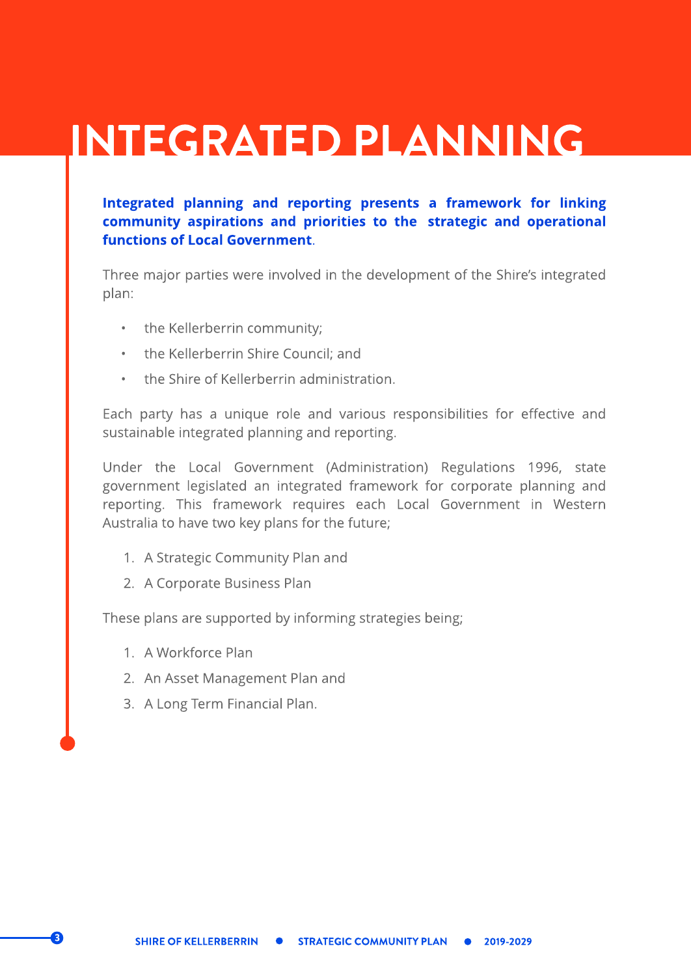# INTEGRATED PLANNING

Integrated planning and reporting presents a framework for linking community aspirations and priorities to the strategic and operational functions of Local Government.

Three major parties were involved in the development of the Shire's integrated plan:

- the Kellerberrin community;
- the Kellerberrin Shire Council; and
- the Shire of Kellerberrin administration.

Each party has a unique role and various responsibilities for effective and sustainable integrated planning and reporting.

Under the Local Government (Administration) Regulations 1996, state government legislated an integrated framework for corporate planning and reporting. This framework requires each Local Government in Western Australia to have two key plans for the future;

- 1. A Strategic Community Plan and
- 2. A Corporate Business Plan

These plans are supported by informing strategies being;

- 1. A Workforce Plan
- 2. An Asset Management Plan and
- 3. A Long Term Financial Plan.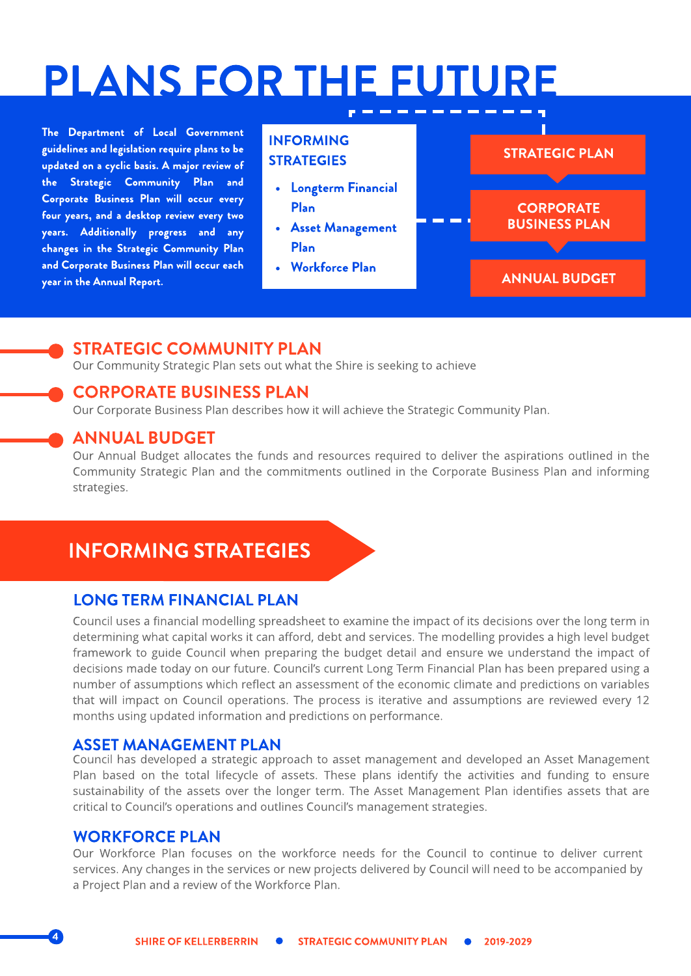# PLANS FOR THE FUTURE

The Department of Local Government guidelines and legislation require plans to be updated on a cyclic basis. A major review of the Strategic Community Plan and Corporate Business Plan will occur every four years, and a desktop review every two years. Additionally progress and any changes in the Strategic Community Plan and Corporate Business Plan will occur each year in the Annual Report.



## ANNUAL BUDGET

### STRATEGIC COMMUNITY PLAN

Our Community Strategic Plan sets out what the Shire is seeking to achieve

### **CORPORATE BUSINESS PLAN**

Our Corporate Business Plan describes how it will achieve the Strategic Community Plan.

#### ANNUAL BUDGET

Our Annual Budget allocates the funds and resources required to deliver the aspirations outlined in the Community Strategic Plan and the commitments outlined in the Corporate Business Plan and informing strategies.

### **INFORMING STRATEGIES**

### LONGTERM FINANCIAL PLAN

Council uses a financial modelling spreadsheet to examine the impact of its decisions over the long term in determining what capital works it can afford, debt and services. The modelling provides a high level budget framework to guide Council when preparing the budget detail and ensure we understand the impact of decisions made today on our future. Council's current Long Term Financial Plan has been prepared using a number of assumptions which reflect an assessment of the economic climate and predictions on variables that will impact on Council operations. The process is iterative and assumptions are reviewed every 12 months using updated information and predictions on performance.

#### **ASSET MANAGEMENT PLAN**

Council has developed a strategic approach to asset management and developed an Asset Management Plan based on the total lifecycle of assets. These plans identify the activities and funding to ensure sustainability of the assets over the longer term. The Asset Management Plan identifies assets that are critical to Council?s operations and outlines Council?s management strategies.

#### WORKFORCE PLAN

Our Workforce Plan focuses on the workforce needs for the Council to continue to deliver current services. Any changes in the services or new projects delivered by Council will need to be accompanied by a Project Plan and a review of the Workforce Plan.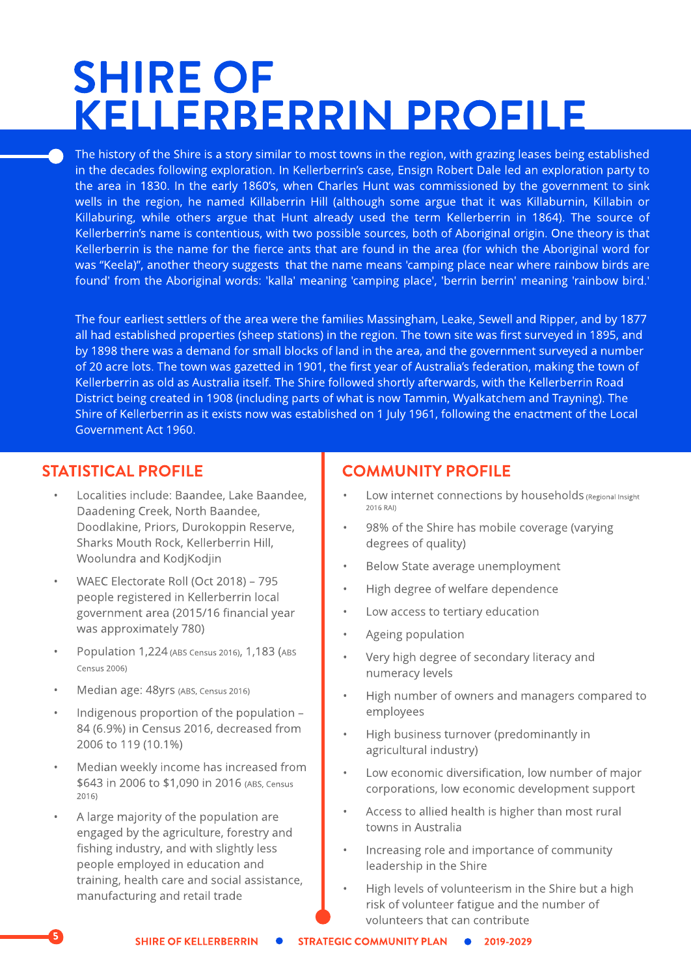## **SHIRE OF** KELLERBERRIN PROFILE

The history of the Shire is a story similar to most towns in the region, with grazing leases being established in the decades following exploration. In Kellerberrin's case, Ensign Robert Dale led an exploration party to the area in 1830. In the early 1860's, when Charles Hunt was commissioned by the government to sink wells in the region, he named Killaberrin Hill (although some argue that it was Killaburnin, Killabin or Killaburing, while others argue that Hunt already used the term Kellerberrin in 1864). The source of Kellerberrin's name is contentious, with two possible sources, both of Aboriginal origin. One theory is that Kellerberrin is the name for the fierce ants that are found in the area (for which the Aboriginal word for was "Keela)", another theory suggests that the name means 'camping place near where rainbow birds are found' from the Aboriginal words: 'kalla' meaning 'camping place', 'berrin berrin' meaning 'rainbow bird.'

The four earliest settlers of the area were the families Massingham, Leake, Sewell and Ripper, and by 1877 all had established properties (sheep stations) in the region. The town site was first surveyed in 1895, and by 1898 there was a demand for small blocks of land in the area, and the government surveyed a number of 20 acre lots. The town was gazetted in 1901, the first year of Australia?s federation, making the town of Kellerberrin as old as Australia itself. The Shire followed shortly afterwards, with the Kellerberrin Road District being created in 1908 (including parts of what is now Tammin, Wyalkatchem and Trayning). The Shire of Kellerberrin as it exists now was established on 1 July 1961, following the enactment of the Local Government Act 1960.

- Localities include: Baandee, Lake Baandee, Daadening Creek, North Baandee, Doodlakine, Priors, Durokoppin Reserve, Sharks Mouth Rock, Kellerberrin Hill, Woolundra and KodjKodjin
- WAEC Electorate Roll (Oct 2018) 795 people registered in Kellerberrin local government area (2015/16 financial year was approximately 780)
- Population 1,224 (ABS Census 2016), 1,183 (ABS Census 2006)
- Median age: 48yrs (ABS, Census 2016)
- Indigenous proportion of the population -84 (6.9%) in Census 2016, decreased from 2006 to 119 (10.1%)
- Median weekly income has increased from \$643 in 2006 to \$1,090 in 2016 (ABS, Census 2016)
- A large majority of the population are engaged by the agriculture, forestry and fishing industry, and with slightly less people employed in education and training, health care and social assistance, manufacturing and retail trade

5

### STATISTICAL PROFILE **STATISTICAL PROFILE**

- Low internet connections by households (Regional Insight 2016 RAI)
- 98% of the Shire has mobile coverage (varying degrees of quality)
- Below State average unemployment
- High degree of welfare dependence
- Low access to tertiary education
- Ageing population
- Very high degree of secondary literacy and numeracy levels
- High number of owners and managers compared to employees
- High business turnover (predominantly in agricultural industry)
- Low economic diversification, low number of major corporations, low economic development support
- Access to allied health is higher than most rural towns in Australia
- Increasing role and importance of community leadership in the Shire
- High levels of volunteerism in the Shire but a high risk of volunteer fatigue and the number of volunteers that can contribute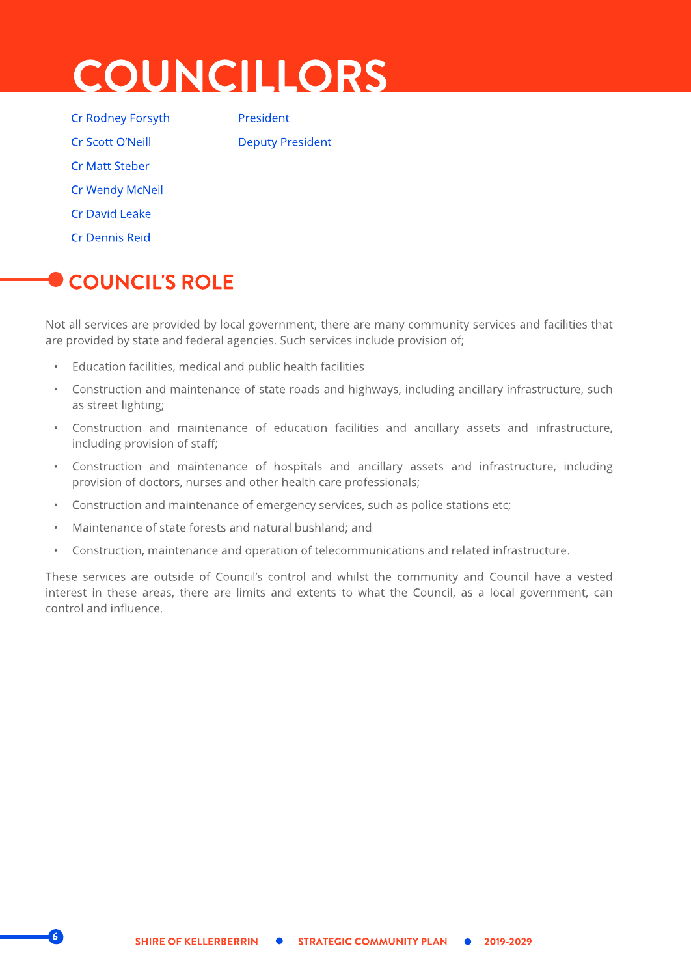# COUNCILLORS

- Cr Rodney Forsyth President Cr Scott O'Neill **Deputy President** Cr Matt Steber Cr Wendy McNeil Cr David Leake
- Cr Dennis Reid

## **COUNCIL'S ROLE**

Not all services are provided by local government; there are many community services and facilities that are provided by state and federal agencies. Such services include provision of;

- Education facilities, medical and public health facilities
- Construction and maintenance of state roads and highways, including ancillary infrastructure, such as street lighting;
- Construction and maintenance of education facilities and ancillary assets and infrastructure, including provision of staff;
- Construction and maintenance of hospitals and ancillary assets and infrastructure, including provision of doctors, nurses and other health care professionals;
- Construction and maintenance of emergency services, such as police stations etc;
- Maintenance of state forests and natural bushland; and
- Construction, maintenance and operation of telecommunications and related infrastructure.

These services are outside of Council's control and whilst the community and Council have a vested interest in these areas, there are limits and extents to what the Council, as a local government, can control and influence.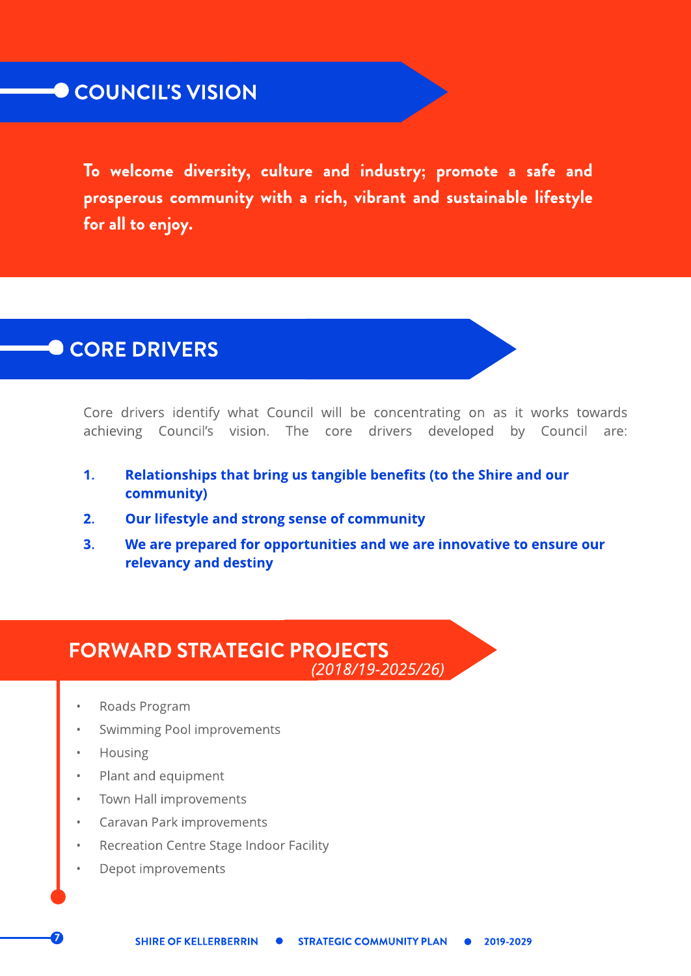### **COUNCIL'S VISION**

To welcome diversity, culture and industry; promote a safe and prosperous community with a rich, vibrant and sustainable lifestyle for all to enjoy.

### **CORE DRIVERS**

Core drivers identify what Council will be concentrating on as it works towards achieving Council's vision. The core drivers developed by Council are:

- 1. Relationships that bring us tangible benefits (to the Shire and our community)
- 2. Our lifestyle and strong sense of community
- 3. We are prepared for opportunities and we are innovative to ensure our relevancy and destiny

### FORWARD STRATEGIC PROJECTS **(2018/19-2025/26)**

- Roads Program
- Swimming Pool improvements
- **Housing**
- Plant and equipment
- Town Hall improvements
- Caravan Park improvements
- Recreation Centre Stage Indoor Facility
- Depot improvements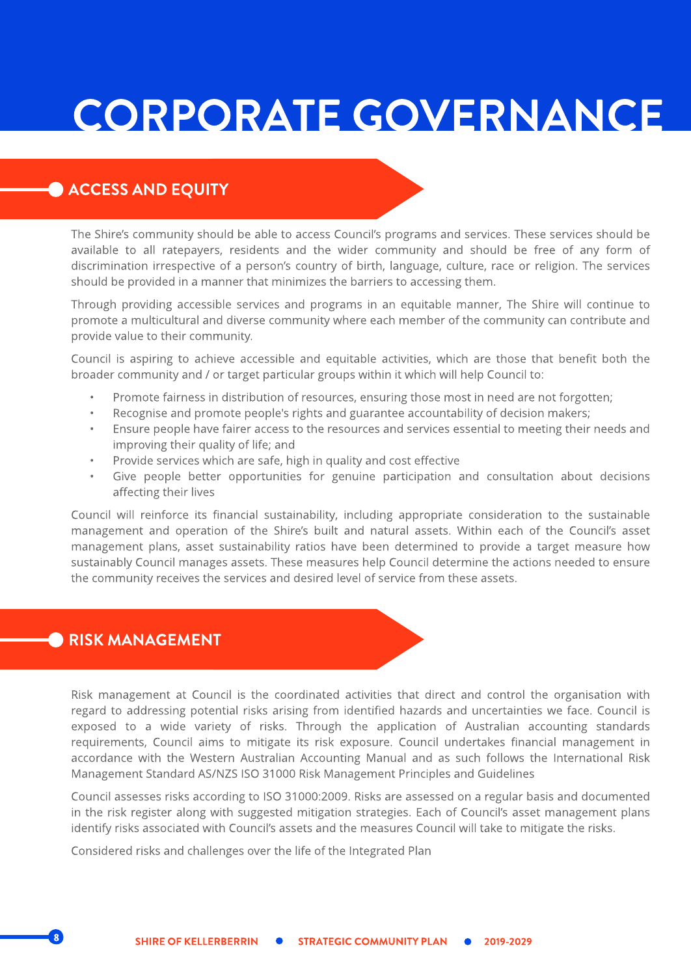# CORPORATEGOVERNANCE

### **ACCESS AND EQUITY**

The Shire's community should be able to access Council's programs and services. These services should be available to all ratepayers, residents and the wider community and should be free of any form of discrimination irrespective of a person's country of birth, language, culture, race or religion. The services should be provided in a manner that minimizes the barriers to accessing them.

Through providing accessible services and programs in an equitable manner, The Shire will continue to promote a multicultural and diverse community where each member of the community can contribute and provide value to their community.

Council is aspiring to achieve accessible and equitable activities, which are those that benefit both the broader community and / or target particular groups within it which will help Council to:

- Promote fairness in distribution of resources, ensuring those most in need are not forgotten;
- Recognise and promote people's rights and guarantee accountability of decision makers;
- Ensure people have fairer access to the resources and services essential to meeting their needs and improving their quality of life; and
- Provide services which are safe, high in quality and cost effective
- Give people better opportunities for genuine participation and consultation about decisions affecting their lives

Council will reinforce its financial sustainability, including appropriate consideration to the sustainable management and operation of the Shire's built and natural assets. Within each of the Council's asset management plans, asset sustainability ratios have been determined to provide a target measure how sustainably Council manages assets. These measures help Council determine the actions needed to ensure the community receives the services and desired level of service from these assets.

### RISK MANAGEMENT

Risk management at Council is the coordinated activities that direct and control the organisation with regard to addressing potential risks arising from identified hazards and uncertainties we face. Council is exposed to a wide variety of risks. Through the application of Australian accounting standards requirements, Council aims to mitigate its risk exposure. Council undertakes financial management in accordance with the Western Australian Accounting Manual and as such follows the International Risk Management Standard AS/NZS ISO 31000 Risk Management Principles and Guidelines

Council assesses risks according to ISO 31000:2009. Risks are assessed on a regular basis and documented in the risk register along with suggested mitigation strategies. Each of Council's asset management plans identify risks associated with Council's assets and the measures Council will take to mitigate the risks.

Considered risks and challenges over the life of the Integrated Plan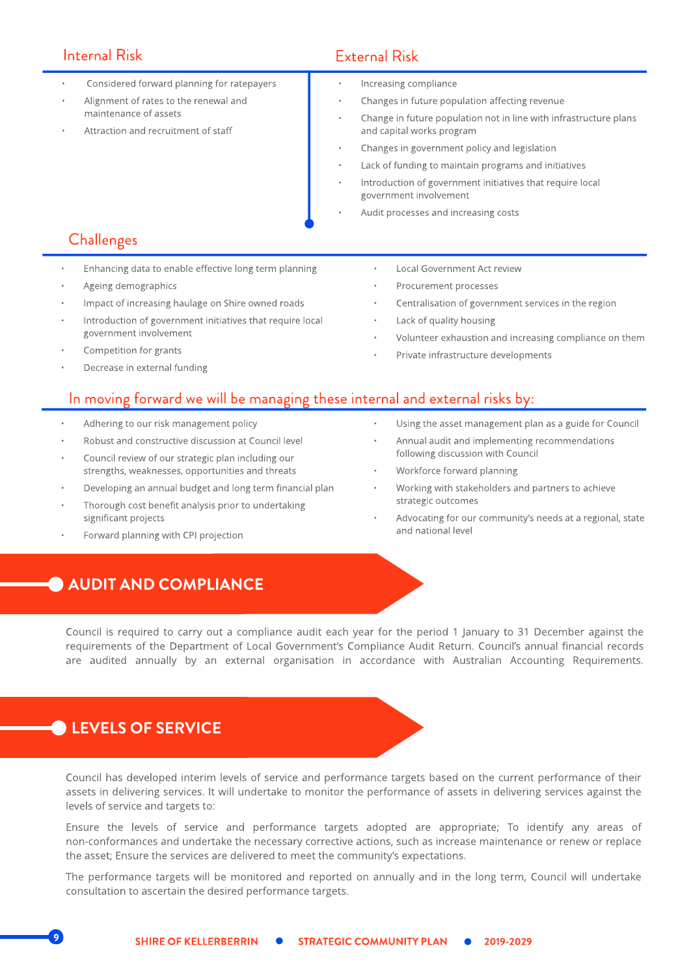- Considered forward planning for ratepayers
- Alignment of rates to the renewal and maintenance of assets
- Attraction and recruitment of staff

### Internal Risk External Risk

- Increasing compliance
- Changes in future population affecting revenue
- Change in future population not in line with infrastructure plans and capital works program
- Changes in government policy and legislation
- Lack of funding to maintain programs and initiatives
- Introduction of government initiatives that require local government involvement
- Audit processes and increasing costs

### **Challenges**

- Enhancing data to enable effective long term planning
- Ageing demographics
- Impact of increasing haulage on Shire owned roads
- Introduction of government initiatives that require local government involvement
- Competition for grants
- Decrease in external funding
- Local Government Act review
- Procurement processes
- Centralisation of government services in the region
- Lack of quality housing
- Volunteer exhaustion and increasing compliance on them
- Private infrastructure developments

#### In moving forward we will be managing these internal and external risks by:

- Adhering to our risk management policy
- Robust and constructive discussion at Council level
- Council review of our strategic plan including our strengths, weaknesses, opportunities and threats
- Developing an annual budget and long term financial plan
- Thorough cost benefit analysis prior to undertaking significant projects
- Forward planning with CPI projection
- Using the asset management plan as a guide for Council
- Annual audit and implementing recommendations following discussion with Council
- Workforce forward planning
- Working with stakeholders and partners to achieve strategic outcomes
- Advocating for our community's needs at a regional, state and national level

### AUDITAND COMPLIANCE

Council is required to carry out a compliance audit each year for the period 1 January to 31 December against the requirements of the Department of Local Government's Compliance Audit Return. Council's annual financial records are audited annually by an external organisation in accordance with Australian Accounting Requirements.

### LEVELS OF SERVICE

Council has developed interim levels of service and performance targets based on the current performance of their assets in delivering services. It will undertake to monitor the performance of assets in delivering services against the levels of service and targets to:

Ensure the levels of service and performance targets adopted are appropriate; To identify any areas of non-conformances and undertake the necessary corrective actions, such as increase maintenance or renew or replace the asset; Ensure the services are delivered to meet the community's expectations.

The performance targets will be monitored and reported on annually and in the long term, Council will undertake consultation to ascertain the desired performance targets.